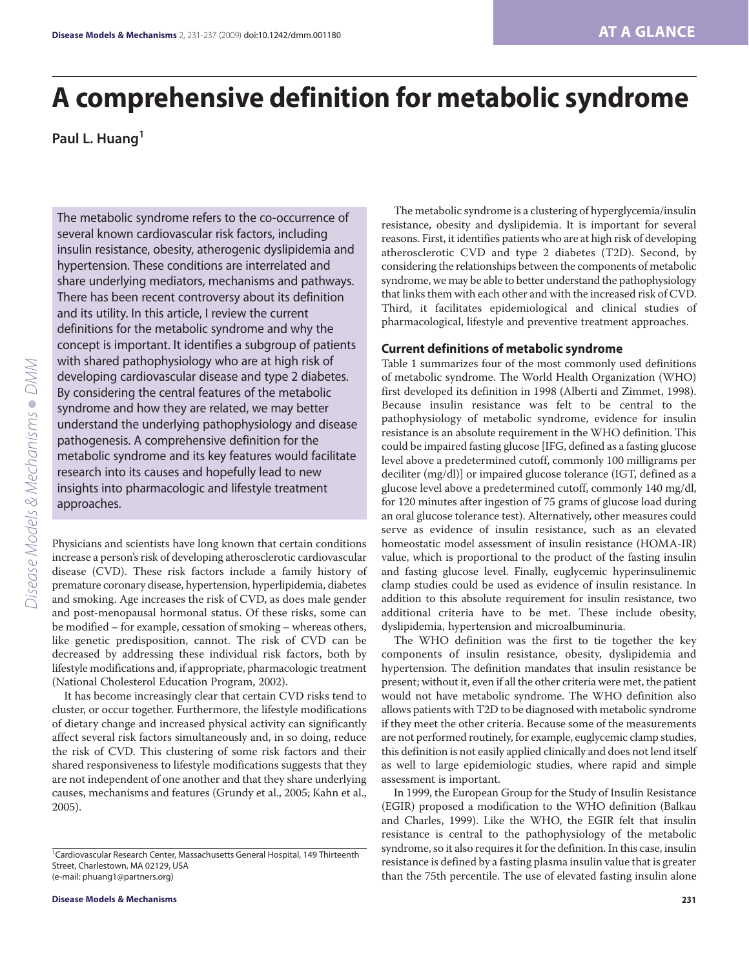# **A comprehensive definition for metabolic syndrome**

**Paul L. Huang1**

The metabolic syndrome refers to the co-occurrence of several known cardiovascular risk factors, including insulin resistance, obesity, atherogenic dyslipidemia and hypertension. These conditions are interrelated and share underlying mediators, mechanisms and pathways. There has been recent controversy about its definition and its utility. In this article, I review the current definitions for the metabolic syndrome and why the concept is important. It identifies a subgroup of patients with shared pathophysiology who are at high risk of developing cardiovascular disease and type 2 diabetes. By considering the central features of the metabolic syndrome and how they are related, we may better understand the underlying pathophysiology and disease pathogenesis. A comprehensive definition for the metabolic syndrome and its key features would facilitate research into its causes and hopefully lead to new insights into pharmacologic and lifestyle treatment approaches.

Physicians and scientists have long known that certain conditions increase a person's risk of developing atherosclerotic cardiovascular disease (CVD). These risk factors include a family history of premature coronary disease, hypertension, hyperlipidemia, diabetes and smoking. Age increases the risk of CVD, as does male gender and post-menopausal hormonal status. Of these risks, some can be modified – for example, cessation of smoking – whereas others, like genetic predisposition, cannot. The risk of CVD can be decreased by addressing these individual risk factors, both by lifestyle modifications and, if appropriate, pharmacologic treatment (National Cholesterol Education Program, 2002).

It has become increasingly clear that certain CVD risks tend to cluster, or occur together. Furthermore, the lifestyle modifications of dietary change and increased physical activity can significantly affect several risk factors simultaneously and, in so doing, reduce the risk of CVD. This clustering of some risk factors and their shared responsiveness to lifestyle modifications suggests that they are not independent of one another and that they share underlying causes, mechanisms and features (Grundy et al., 2005; Kahn et al., 2005).

The metabolic syndrome is a clustering of hyperglycemia/insulin resistance, obesity and dyslipidemia. It is important for several reasons. First, it identifies patients who are at high risk of developing atherosclerotic CVD and type 2 diabetes (T2D). Second, by considering the relationships between the components of metabolic syndrome, we may be able to better understand the pathophysiology that links them with each other and with the increased risk of CVD. Third, it facilitates epidemiological and clinical studies of pharmacological, lifestyle and preventive treatment approaches.

## **Current definitions of metabolic syndrome**

Table 1 summarizes four of the most commonly used definitions of metabolic syndrome. The World Health Organization (WHO) first developed its definition in 1998 (Alberti and Zimmet, 1998). Because insulin resistance was felt to be central to the pathophysiology of metabolic syndrome, evidence for insulin resistance is an absolute requirement in the WHO definition. This could be impaired fasting glucose [IFG, defined as a fasting glucose level above a predetermined cutoff, commonly 100 milligrams per deciliter (mg/dl)] or impaired glucose tolerance (IGT, defined as a glucose level above a predetermined cutoff, commonly 140 mg/dl, for 120 minutes after ingestion of 75 grams of glucose load during an oral glucose tolerance test). Alternatively, other measures could serve as evidence of insulin resistance, such as an elevated homeostatic model assessment of insulin resistance (HOMA-IR) value, which is proportional to the product of the fasting insulin and fasting glucose level. Finally, euglycemic hyperinsulinemic clamp studies could be used as evidence of insulin resistance. In addition to this absolute requirement for insulin resistance, two additional criteria have to be met. These include obesity, dyslipidemia, hypertension and microalbuminuria.

The WHO definition was the first to tie together the key components of insulin resistance, obesity, dyslipidemia and hypertension. The definition mandates that insulin resistance be present; without it, even if all the other criteria were met, the patient would not have metabolic syndrome. The WHO definition also allows patients with T2D to be diagnosed with metabolic syndrome if they meet the other criteria. Because some of the measurements are not performed routinely, for example, euglycemic clamp studies, this definition is not easily applied clinically and does not lend itself as well to large epidemiologic studies, where rapid and simple assessment is important.

In 1999, the European Group for the Study of Insulin Resistance (EGIR) proposed a modification to the WHO definition (Balkau and Charles, 1999). Like the WHO, the EGIR felt that insulin resistance is central to the pathophysiology of the metabolic syndrome, so it also requires it for the definition. In this case, insulin resistance is defined by a fasting plasma insulin value that is greater than the 75th percentile. The use of elevated fasting insulin alone

<sup>&</sup>lt;sup>1</sup>Cardiovascular Research Center, Massachusetts General Hospital, 149 Thirteenth Street, Charlestown, MA 02129, USA (e-mail: phuang1@partners.org)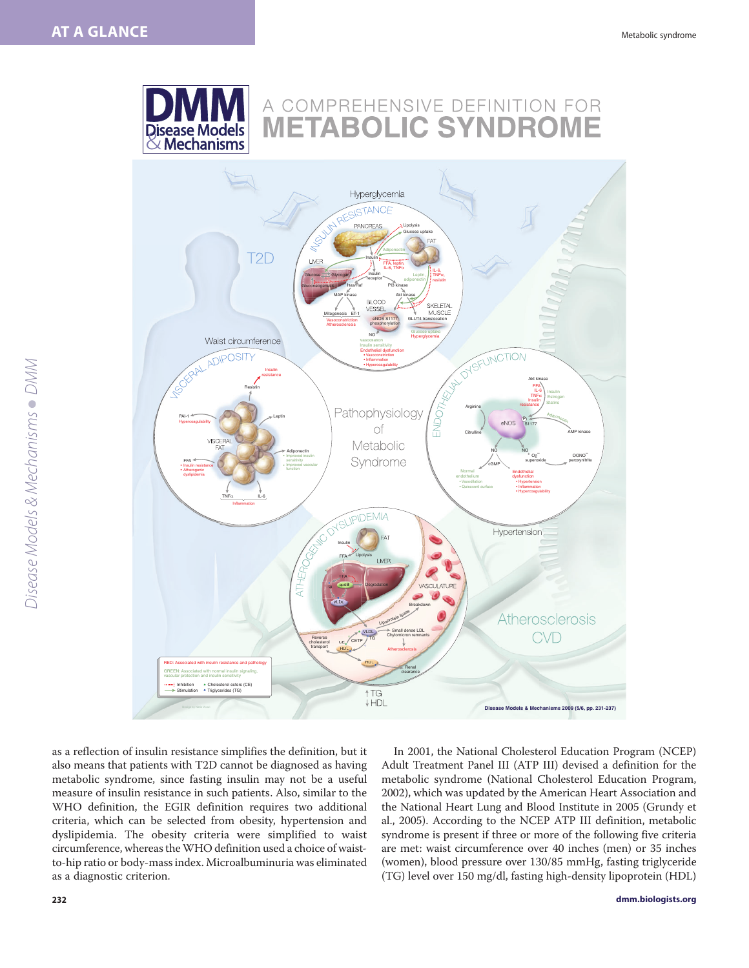

as a reflection of insulin resistance simplifies the definition, but it also means that patients with T2D cannot be diagnosed as having metabolic syndrome, since fasting insulin may not be a useful measure of insulin resistance in such patients. Also, similar to the WHO definition, the EGIR definition requires two additional criteria, which can be selected from obesity, hypertension and dyslipidemia. The obesity criteria were simplified to waist circumference, whereas the WHO definition used a choice of waistto-hip ratio or body-mass index. Microalbuminuria was eliminated as a diagnostic criterion.

In 2001, the National Cholesterol Education Program (NCEP) Adult Treatment Panel III (ATP III) devised a definition for the metabolic syndrome (National Cholesterol Education Program, 2002), which was updated by the American Heart Association and the National Heart Lung and Blood Institute in 2005 (Grundy et al., 2005). According to the NCEP ATP III definition, metabolic syndrome is present if three or more of the following five criteria are met: waist circumference over 40 inches (men) or 35 inches (women), blood pressure over 130/85 mmHg, fasting triglyceride (TG) level over 150 mg/dl, fasting high-density lipoprotein (HDL)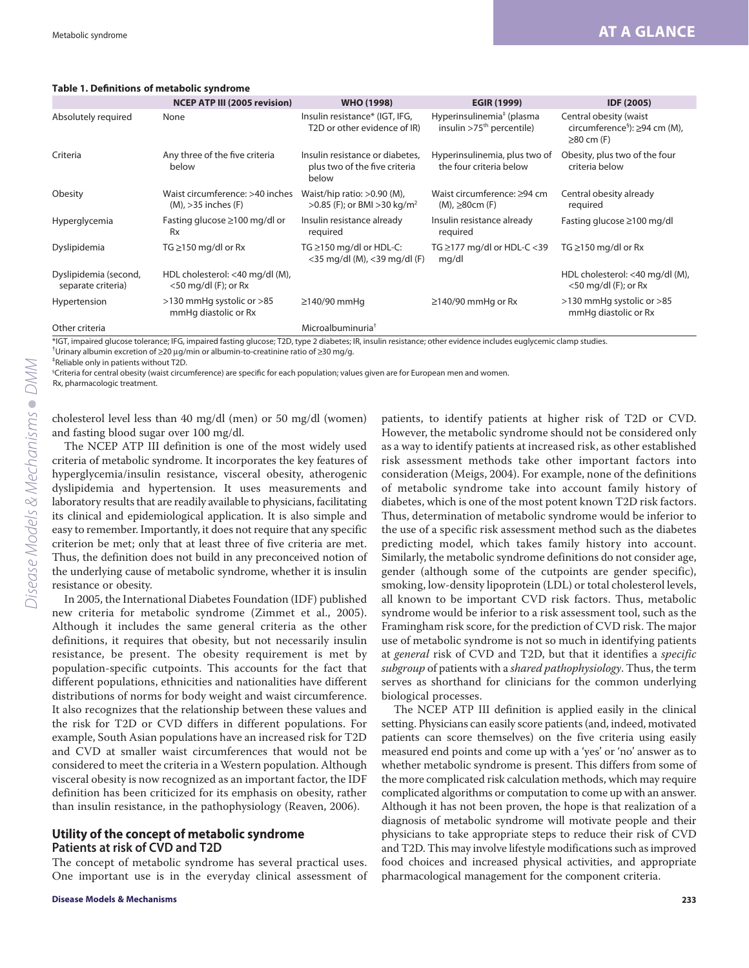#### **Table 1. Definitions of metabolic syndrome**

|                                             | <b>NCEP ATP III (2005 revision)</b>                         | <b>WHO (1998)</b>                                                            | <b>EGIR (1999)</b>                                                   | <b>IDF (2005)</b>                                                                             |
|---------------------------------------------|-------------------------------------------------------------|------------------------------------------------------------------------------|----------------------------------------------------------------------|-----------------------------------------------------------------------------------------------|
| Absolutely required                         | None                                                        | Insulin resistance* (IGT, IFG,<br>T2D or other evidence of IR)               | Hyperinsulinemia <sup>#</sup> (plasma<br>insulin $>75th$ percentile) | Central obesity (waist<br>circumference <sup>§</sup> ): $\geq$ 94 cm (M),<br>$\geq$ 80 cm (F) |
| Criteria                                    | Any three of the five criteria<br>below                     | Insulin resistance or diabetes,<br>plus two of the five criteria<br>below    | Hyperinsulinemia, plus two of<br>the four criteria below             | Obesity, plus two of the four<br>criteria below                                               |
| Obesity                                     | Waist circumference: >40 inches<br>$(M)$ , >35 inches $(F)$ | Waist/hip ratio: $>0.90$ (M),<br>$>0.85$ (F); or BMI $>30$ kg/m <sup>2</sup> | Waist circumference: ≥94 cm<br>$(M), \geq 80$ cm (F)                 | Central obesity already<br>required                                                           |
| Hyperglycemia                               | Fasting glucose $\geq$ 100 mg/dl or<br>Rx                   | Insulin resistance already<br>required                                       | Insulin resistance already<br>required                               | Fasting glucose ≥100 mg/dl                                                                    |
| Dyslipidemia                                | TG $\geq$ 150 mg/dl or Rx                                   | TG $\geq$ 150 mg/dl or HDL-C:<br>$<$ 35 mg/dl (M), $<$ 39 mg/dl (F)          | TG $\geq$ 177 mg/dl or HDL-C <39<br>mg/dl                            | TG $\geq$ 150 mg/dl or Rx                                                                     |
| Dyslipidemia (second,<br>separate criteria) | HDL cholesterol: <40 mg/dl (M),<br>$<$ 50 mg/dl (F); or Rx  |                                                                              |                                                                      | HDL cholesterol: <40 mg/dl (M),<br>$<$ 50 mg/dl (F); or Rx                                    |
| Hypertension                                | >130 mmHg systolic or >85<br>mmHg diastolic or Rx           | ≥140/90 mmHq                                                                 | $\geq$ 140/90 mmHq or Rx                                             | >130 mmHg systolic or >85<br>mmHg diastolic or Rx                                             |
| Other criteria                              |                                                             | Microalbuminuria <sup>†</sup>                                                |                                                                      |                                                                                               |

\*IGT, impaired glucose tolerance; IFG, impaired fasting glucose; T2D, type 2 diabetes; IR, insulin resistance; other evidence includes euglycemic clamp studies.

 $^\dagger$ Urinary albumin excretion of  $\geq$ 20  $\mu$ g/min or albumin-to-creatinine ratio of  $\geq$ 30 mg/g.

‡ Reliable only in patients without T2D.

§ Criteria for central obesity (waist circumference) are specific for each population; values given are for European men and women. Rx, pharmacologic treatment.

cholesterol level less than 40 mg/dl (men) or 50 mg/dl (women) and fasting blood sugar over 100 mg/dl.

The NCEP ATP III definition is one of the most widely used criteria of metabolic syndrome. It incorporates the key features of hyperglycemia/insulin resistance, visceral obesity, atherogenic dyslipidemia and hypertension. It uses measurements and laboratory results that are readily available to physicians, facilitating its clinical and epidemiological application. It is also simple and easy to remember. Importantly, it does not require that any specific criterion be met; only that at least three of five criteria are met. Thus, the definition does not build in any preconceived notion of the underlying cause of metabolic syndrome, whether it is insulin resistance or obesity.

In 2005, the International Diabetes Foundation (IDF) published new criteria for metabolic syndrome (Zimmet et al., 2005). Although it includes the same general criteria as the other definitions, it requires that obesity, but not necessarily insulin resistance, be present. The obesity requirement is met by population-specific cutpoints. This accounts for the fact that different populations, ethnicities and nationalities have different distributions of norms for body weight and waist circumference. It also recognizes that the relationship between these values and the risk for T2D or CVD differs in different populations. For example, South Asian populations have an increased risk for T2D and CVD at smaller waist circumferences that would not be considered to meet the criteria in a Western population. Although visceral obesity is now recognized as an important factor, the IDF definition has been criticized for its emphasis on obesity, rather than insulin resistance, in the pathophysiology (Reaven, 2006).

# **Utility of the concept of metabolic syndrome Patients at risk of CVD and T2D**

The concept of metabolic syndrome has several practical uses. One important use is in the everyday clinical assessment of patients, to identify patients at higher risk of T2D or CVD. However, the metabolic syndrome should not be considered only as a way to identify patients at increased risk, as other established risk assessment methods take other important factors into consideration (Meigs, 2004). For example, none of the definitions of metabolic syndrome take into account family history of diabetes, which is one of the most potent known T2D risk factors. Thus, determination of metabolic syndrome would be inferior to the use of a specific risk assessment method such as the diabetes predicting model, which takes family history into account. Similarly, the metabolic syndrome definitions do not consider age, gender (although some of the cutpoints are gender specific), smoking, low-density lipoprotein (LDL) or total cholesterol levels, all known to be important CVD risk factors. Thus, metabolic syndrome would be inferior to a risk assessment tool, such as the Framingham risk score, for the prediction of CVD risk. The major use of metabolic syndrome is not so much in identifying patients at *general* risk of CVD and T2D, but that it identifies a *specific subgroup* of patients with a *shared pathophysiology*. Thus, the term serves as shorthand for clinicians for the common underlying biological processes.

The NCEP ATP III definition is applied easily in the clinical setting. Physicians can easily score patients (and, indeed, motivated patients can score themselves) on the five criteria using easily measured end points and come up with a 'yes' or 'no' answer as to whether metabolic syndrome is present. This differs from some of the more complicated risk calculation methods, which may require complicated algorithms or computation to come up with an answer. Although it has not been proven, the hope is that realization of a diagnosis of metabolic syndrome will motivate people and their physicians to take appropriate steps to reduce their risk of CVD and T2D. This may involve lifestyle modifications such as improved food choices and increased physical activities, and appropriate pharmacological management for the component criteria.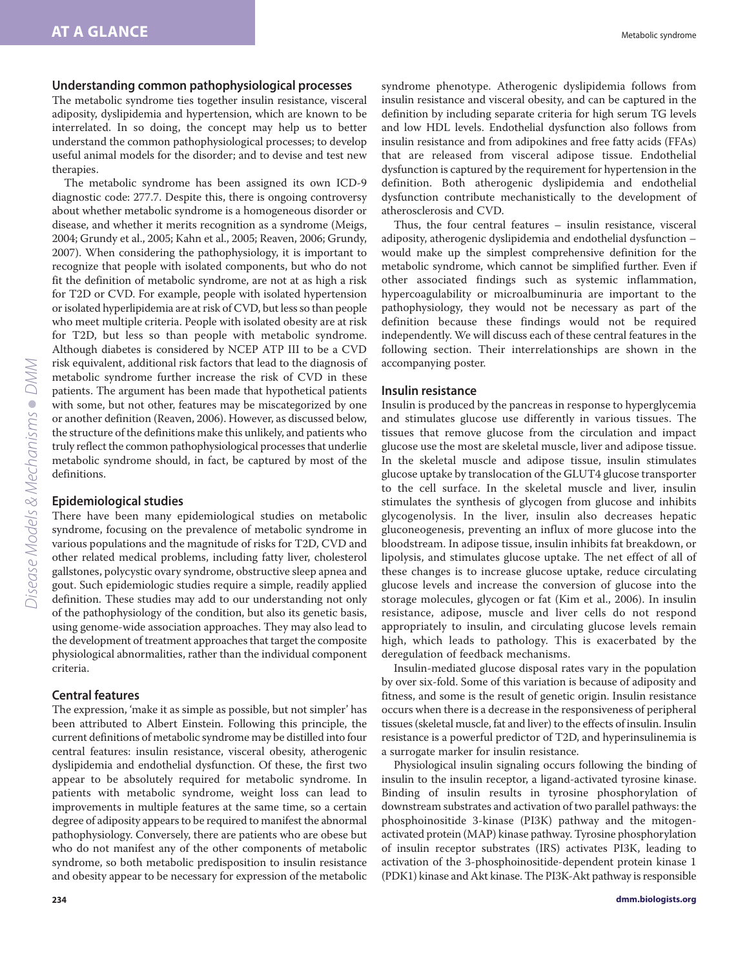### **Understanding common pathophysiological processes**

The metabolic syndrome ties together insulin resistance, visceral adiposity, dyslipidemia and hypertension, which are known to be interrelated. In so doing, the concept may help us to better understand the common pathophysiological processes; to develop useful animal models for the disorder; and to devise and test new therapies.

The metabolic syndrome has been assigned its own ICD-9 diagnostic code: 277.7. Despite this, there is ongoing controversy about whether metabolic syndrome is a homogeneous disorder or disease, and whether it merits recognition as a syndrome (Meigs, 2004; Grundy et al., 2005; Kahn et al., 2005; Reaven, 2006; Grundy, 2007). When considering the pathophysiology, it is important to recognize that people with isolated components, but who do not fit the definition of metabolic syndrome, are not at as high a risk for T2D or CVD. For example, people with isolated hypertension or isolated hyperlipidemia are at risk of CVD, but less so than people who meet multiple criteria. People with isolated obesity are at risk for T2D, but less so than people with metabolic syndrome. Although diabetes is considered by NCEP ATP III to be a CVD risk equivalent, additional risk factors that lead to the diagnosis of metabolic syndrome further increase the risk of CVD in these patients. The argument has been made that hypothetical patients with some, but not other, features may be miscategorized by one or another definition (Reaven, 2006). However, as discussed below, the structure of the definitions make this unlikely, and patients who truly reflect the common pathophysiological processes that underlie metabolic syndrome should, in fact, be captured by most of the definitions.

#### **Epidemiological studies**

There have been many epidemiological studies on metabolic syndrome, focusing on the prevalence of metabolic syndrome in various populations and the magnitude of risks for T2D, CVD and other related medical problems, including fatty liver, cholesterol gallstones, polycystic ovary syndrome, obstructive sleep apnea and gout. Such epidemiologic studies require a simple, readily applied definition. These studies may add to our understanding not only of the pathophysiology of the condition, but also its genetic basis, using genome-wide association approaches. They may also lead to the development of treatment approaches that target the composite physiological abnormalities, rather than the individual component criteria.

## **Central features**

The expression, 'make it as simple as possible, but not simpler' has been attributed to Albert Einstein. Following this principle, the current definitions of metabolic syndrome may be distilled into four central features: insulin resistance, visceral obesity, atherogenic dyslipidemia and endothelial dysfunction. Of these, the first two appear to be absolutely required for metabolic syndrome. In patients with metabolic syndrome, weight loss can lead to improvements in multiple features at the same time, so a certain degree of adiposity appears to be required to manifest the abnormal pathophysiology. Conversely, there are patients who are obese but who do not manifest any of the other components of metabolic syndrome, so both metabolic predisposition to insulin resistance and obesity appear to be necessary for expression of the metabolic

syndrome phenotype. Atherogenic dyslipidemia follows from insulin resistance and visceral obesity, and can be captured in the definition by including separate criteria for high serum TG levels and low HDL levels. Endothelial dysfunction also follows from insulin resistance and from adipokines and free fatty acids (FFAs) that are released from visceral adipose tissue. Endothelial dysfunction is captured by the requirement for hypertension in the definition. Both atherogenic dyslipidemia and endothelial dysfunction contribute mechanistically to the development of atherosclerosis and CVD.

Thus, the four central features – insulin resistance, visceral adiposity, atherogenic dyslipidemia and endothelial dysfunction – would make up the simplest comprehensive definition for the metabolic syndrome, which cannot be simplified further. Even if other associated findings such as systemic inflammation, hypercoagulability or microalbuminuria are important to the pathophysiology, they would not be necessary as part of the definition because these findings would not be required independently. We will discuss each of these central features in the following section. Their interrelationships are shown in the accompanying poster.

#### **Insulin resistance**

Insulin is produced by the pancreas in response to hyperglycemia and stimulates glucose use differently in various tissues. The tissues that remove glucose from the circulation and impact glucose use the most are skeletal muscle, liver and adipose tissue. In the skeletal muscle and adipose tissue, insulin stimulates glucose uptake by translocation of the GLUT4 glucose transporter to the cell surface. In the skeletal muscle and liver, insulin stimulates the synthesis of glycogen from glucose and inhibits glycogenolysis. In the liver, insulin also decreases hepatic gluconeogenesis, preventing an influx of more glucose into the bloodstream. In adipose tissue, insulin inhibits fat breakdown, or lipolysis, and stimulates glucose uptake. The net effect of all of these changes is to increase glucose uptake, reduce circulating glucose levels and increase the conversion of glucose into the storage molecules, glycogen or fat (Kim et al., 2006). In insulin resistance, adipose, muscle and liver cells do not respond appropriately to insulin, and circulating glucose levels remain high, which leads to pathology. This is exacerbated by the deregulation of feedback mechanisms.

Insulin-mediated glucose disposal rates vary in the population by over six-fold. Some of this variation is because of adiposity and fitness, and some is the result of genetic origin. Insulin resistance occurs when there is a decrease in the responsiveness of peripheral tissues (skeletal muscle, fat and liver) to the effects of insulin. Insulin resistance is a powerful predictor of T2D, and hyperinsulinemia is a surrogate marker for insulin resistance.

Physiological insulin signaling occurs following the binding of insulin to the insulin receptor, a ligand-activated tyrosine kinase. Binding of insulin results in tyrosine phosphorylation of downstream substrates and activation of two parallel pathways: the phosphoinositide 3-kinase (PI3K) pathway and the mitogenactivated protein (MAP) kinase pathway. Tyrosine phosphorylation of insulin receptor substrates (IRS) activates PI3K, leading to activation of the 3-phosphoinositide-dependent protein kinase 1 (PDK1) kinase and Akt kinase. The PI3K-Akt pathway is responsible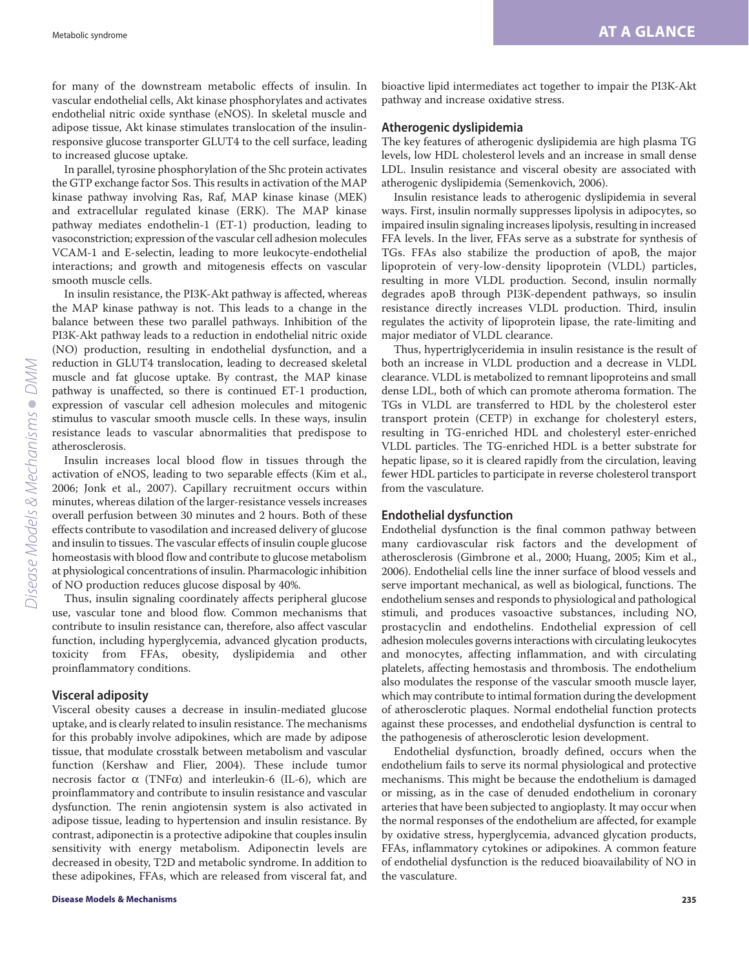for many of the downstream metabolic effects of insulin. In vascular endothelial cells, Akt kinase phosphorylates and activates endothelial nitric oxide synthase (eNOS). In skeletal muscle and adipose tissue, Akt kinase stimulates translocation of the insulinresponsive glucose transporter GLUT4 to the cell surface, leading to increased glucose uptake.

In parallel, tyrosine phosphorylation of the Shc protein activates the GTP exchange factor Sos. This results in activation of the MAP kinase pathway involving Ras, Raf, MAP kinase kinase (MEK) and extracellular regulated kinase (ERK). The MAP kinase pathway mediates endothelin-1 (ET-1) production, leading to vasoconstriction; expression of the vascular cell adhesion molecules VCAM-1 and E-selectin, leading to more leukocyte-endothelial interactions; and growth and mitogenesis effects on vascular smooth muscle cells.

In insulin resistance, the PI3K-Akt pathway is affected, whereas the MAP kinase pathway is not. This leads to a change in the balance between these two parallel pathways. Inhibition of the PI3K-Akt pathway leads to a reduction in endothelial nitric oxide (NO) production, resulting in endothelial dysfunction, and a reduction in GLUT4 translocation, leading to decreased skeletal muscle and fat glucose uptake. By contrast, the MAP kinase pathway is unaffected, so there is continued ET-1 production, expression of vascular cell adhesion molecules and mitogenic stimulus to vascular smooth muscle cells. In these ways, insulin resistance leads to vascular abnormalities that predispose to atherosclerosis.

Insulin increases local blood flow in tissues through the activation of eNOS, leading to two separable effects (Kim et al., 2006; Jonk et al., 2007). Capillary recruitment occurs within minutes, whereas dilation of the larger-resistance vessels increases overall perfusion between 30 minutes and 2 hours. Both of these effects contribute to vasodilation and increased delivery of glucose and insulin to tissues. The vascular effects of insulin couple glucose homeostasis with blood flow and contribute to glucose metabolism at physiological concentrations of insulin. Pharmacologic inhibition of NO production reduces glucose disposal by 40%.

Thus, insulin signaling coordinately affects peripheral glucose use, vascular tone and blood flow. Common mechanisms that contribute to insulin resistance can, therefore, also affect vascular function, including hyperglycemia, advanced glycation products, toxicity from FFAs, obesity, dyslipidemia and other proinflammatory conditions.

### **Visceral adiposity**

Visceral obesity causes a decrease in insulin-mediated glucose uptake, and is clearly related to insulin resistance. The mechanisms for this probably involve adipokines, which are made by adipose tissue, that modulate crosstalk between metabolism and vascular function (Kershaw and Flier, 2004). These include tumor necrosis factor  $\alpha$  (TNFα) and interleukin-6 (IL-6), which are proinflammatory and contribute to insulin resistance and vascular dysfunction. The renin angiotensin system is also activated in adipose tissue, leading to hypertension and insulin resistance. By contrast, adiponectin is a protective adipokine that couples insulin sensitivity with energy metabolism. Adiponectin levels are decreased in obesity, T2D and metabolic syndrome. In addition to these adipokines, FFAs, which are released from visceral fat, and bioactive lipid intermediates act together to impair the PI3K-Akt pathway and increase oxidative stress.

## **Atherogenic dyslipidemia**

The key features of atherogenic dyslipidemia are high plasma TG levels, low HDL cholesterol levels and an increase in small dense LDL. Insulin resistance and visceral obesity are associated with atherogenic dyslipidemia (Semenkovich, 2006).

Insulin resistance leads to atherogenic dyslipidemia in several ways. First, insulin normally suppresses lipolysis in adipocytes, so impaired insulin signaling increases lipolysis, resulting in increased FFA levels. In the liver, FFAs serve as a substrate for synthesis of TGs. FFAs also stabilize the production of apoB, the major lipoprotein of very-low-density lipoprotein (VLDL) particles, resulting in more VLDL production. Second, insulin normally degrades apoB through PI3K-dependent pathways, so insulin resistance directly increases VLDL production. Third, insulin regulates the activity of lipoprotein lipase, the rate-limiting and major mediator of VLDL clearance.

Thus, hypertriglyceridemia in insulin resistance is the result of both an increase in VLDL production and a decrease in VLDL clearance. VLDL is metabolized to remnant lipoproteins and small dense LDL, both of which can promote atheroma formation. The TGs in VLDL are transferred to HDL by the cholesterol ester transport protein (CETP) in exchange for cholesteryl esters, resulting in TG-enriched HDL and cholesteryl ester-enriched VLDL particles. The TG-enriched HDL is a better substrate for hepatic lipase, so it is cleared rapidly from the circulation, leaving fewer HDL particles to participate in reverse cholesterol transport from the vasculature.

### **Endothelial dysfunction**

Endothelial dysfunction is the final common pathway between many cardiovascular risk factors and the development of atherosclerosis (Gimbrone et al., 2000; Huang, 2005; Kim et al., 2006). Endothelial cells line the inner surface of blood vessels and serve important mechanical, as well as biological, functions. The endothelium senses and responds to physiological and pathological stimuli, and produces vasoactive substances, including NO, prostacyclin and endothelins. Endothelial expression of cell adhesion molecules governs interactions with circulating leukocytes and monocytes, affecting inflammation, and with circulating platelets, affecting hemostasis and thrombosis. The endothelium also modulates the response of the vascular smooth muscle layer, which may contribute to intimal formation during the development of atherosclerotic plaques. Normal endothelial function protects against these processes, and endothelial dysfunction is central to the pathogenesis of atherosclerotic lesion development.

Endothelial dysfunction, broadly defined, occurs when the endothelium fails to serve its normal physiological and protective mechanisms. This might be because the endothelium is damaged or missing, as in the case of denuded endothelium in coronary arteries that have been subjected to angioplasty. It may occur when the normal responses of the endothelium are affected, for example by oxidative stress, hyperglycemia, advanced glycation products, FFAs, inflammatory cytokines or adipokines. A common feature of endothelial dysfunction is the reduced bioavailability of NO in the vasculature.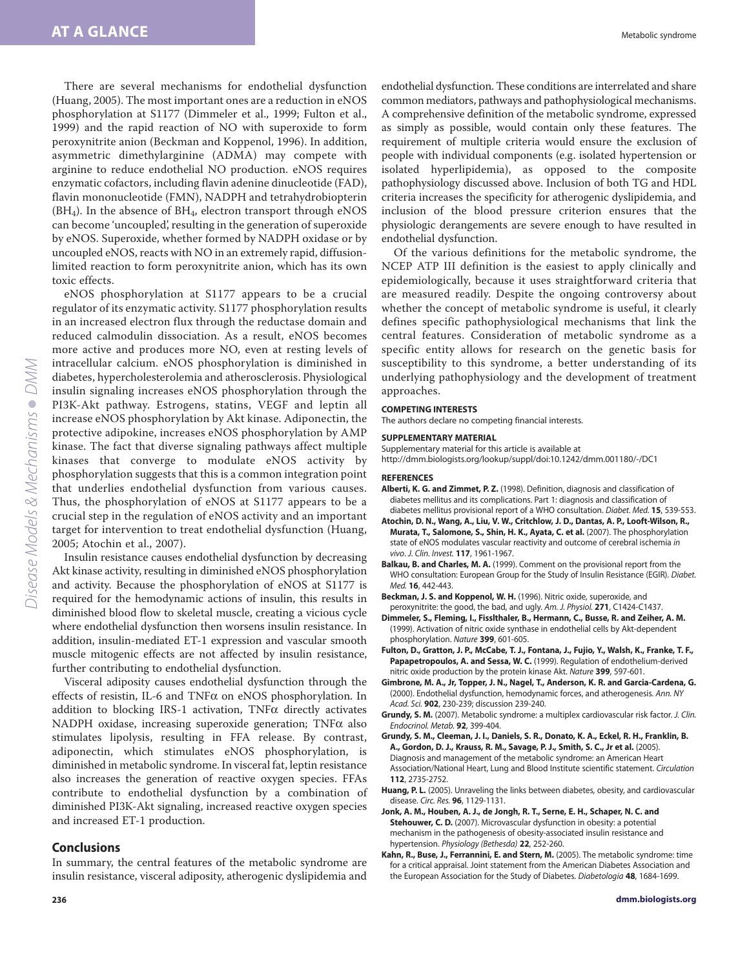There are several mechanisms for endothelial dysfunction (Huang, 2005). The most important ones are a reduction in eNOS phosphorylation at S1177 (Dimmeler et al., 1999; Fulton et al., 1999) and the rapid reaction of NO with superoxide to form peroxynitrite anion (Beckman and Koppenol, 1996). In addition, asymmetric dimethylarginine (ADMA) may compete with arginine to reduce endothelial NO production. eNOS requires enzymatic cofactors, including flavin adenine dinucleotide (FAD), flavin mononucleotide (FMN), NADPH and tetrahydrobiopterin  $(BH<sub>4</sub>)$ . In the absence of  $BH<sub>4</sub>$ , electron transport through eNOS can become 'uncoupled', resulting in the generation of superoxide by eNOS. Superoxide, whether formed by NADPH oxidase or by uncoupled eNOS, reacts with NO in an extremely rapid, diffusionlimited reaction to form peroxynitrite anion, which has its own toxic effects.

eNOS phosphorylation at S1177 appears to be a crucial regulator of its enzymatic activity. S1177 phosphorylation results in an increased electron flux through the reductase domain and reduced calmodulin dissociation. As a result, eNOS becomes more active and produces more NO, even at resting levels of intracellular calcium. eNOS phosphorylation is diminished in diabetes, hypercholesterolemia and atherosclerosis. Physiological insulin signaling increases eNOS phosphorylation through the PI3K-Akt pathway. Estrogens, statins, VEGF and leptin all increase eNOS phosphorylation by Akt kinase. Adiponectin, the protective adipokine, increases eNOS phosphorylation by AMP kinase. The fact that diverse signaling pathways affect multiple kinases that converge to modulate eNOS activity by phosphorylation suggests that this is a common integration point that underlies endothelial dysfunction from various causes. Thus, the phosphorylation of eNOS at S1177 appears to be a crucial step in the regulation of eNOS activity and an important target for intervention to treat endothelial dysfunction (Huang, 2005; Atochin et al., 2007).

Insulin resistance causes endothelial dysfunction by decreasing Akt kinase activity, resulting in diminished eNOS phosphorylation and activity. Because the phosphorylation of eNOS at S1177 is required for the hemodynamic actions of insulin, this results in diminished blood flow to skeletal muscle, creating a vicious cycle where endothelial dysfunction then worsens insulin resistance. In addition, insulin-mediated ET-1 expression and vascular smooth muscle mitogenic effects are not affected by insulin resistance, further contributing to endothelial dysfunction.

Visceral adiposity causes endothelial dysfunction through the effects of resistin, IL-6 and TNFα on eNOS phosphorylation. In addition to blocking IRS-1 activation, TNFα directly activates NADPH oxidase, increasing superoxide generation; TNFα also stimulates lipolysis, resulting in FFA release. By contrast, adiponectin, which stimulates eNOS phosphorylation, is diminished in metabolic syndrome. In visceral fat, leptin resistance also increases the generation of reactive oxygen species. FFAs contribute to endothelial dysfunction by a combination of diminished PI3K-Akt signaling, increased reactive oxygen species and increased ET-1 production.

### **Conclusions**

In summary, the central features of the metabolic syndrome are insulin resistance, visceral adiposity, atherogenic dyslipidemia and

endothelial dysfunction. These conditions are interrelated and share common mediators, pathways and pathophysiological mechanisms. A comprehensive definition of the metabolic syndrome, expressed as simply as possible, would contain only these features. The requirement of multiple criteria would ensure the exclusion of people with individual components (e.g. isolated hypertension or isolated hyperlipidemia), as opposed to the composite pathophysiology discussed above. Inclusion of both TG and HDL criteria increases the specificity for atherogenic dyslipidemia, and inclusion of the blood pressure criterion ensures that the physiologic derangements are severe enough to have resulted in endothelial dysfunction.

Of the various definitions for the metabolic syndrome, the NCEP ATP III definition is the easiest to apply clinically and epidemiologically, because it uses straightforward criteria that are measured readily. Despite the ongoing controversy about whether the concept of metabolic syndrome is useful, it clearly defines specific pathophysiological mechanisms that link the central features. Consideration of metabolic syndrome as a specific entity allows for research on the genetic basis for susceptibility to this syndrome, a better understanding of its underlying pathophysiology and the development of treatment approaches.

#### **COMPETING INTERESTS**

The authors declare no competing financial interests.

#### **SUPPLEMENTARY MATERIAL**

Supplementary material for this article is available at http://dmm.biologists.org/lookup/suppl/doi:10.1242/dmm.001180/-/DC1

#### **REFERENCES**

- **Alberti, K. G. and Zimmet, P. Z.** (1998). Definition, diagnosis and classification of diabetes mellitus and its complications. Part 1: diagnosis and classification of diabetes mellitus provisional report of a WHO consultation. *Diabet. Med.* **15**, 539-553.
- **Atochin, D. N., Wang, A., Liu, V. W., Critchlow, J. D., Dantas, A. P., Looft-Wilson, R., Murata, T., Salomone, S., Shin, H. K., Ayata, C. et al.** (2007). The phosphorylation state of eNOS modulates vascular reactivity and outcome of cerebral ischemia *in vivo*. *J. Clin. Invest.* **117**, 1961-1967.
- **Balkau, B. and Charles, M. A.** (1999). Comment on the provisional report from the WHO consultation: European Group for the Study of Insulin Resistance (EGIR). *Diabet. Med.* **16**, 442-443.
- **Beckman, J. S. and Koppenol, W. H.** (1996). Nitric oxide, superoxide, and peroxynitrite: the good, the bad, and ugly. *Am. J. Physiol.* **271**, C1424-C1437.
- **Dimmeler, S., Fleming, I., Fisslthaler, B., Hermann, C., Busse, R. and Zeiher, A. M.** (1999). Activation of nitric oxide synthase in endothelial cells by Akt-dependent phosphorylation. *Nature* **399**, 601-605.
- **Fulton, D., Gratton, J. P., McCabe, T. J., Fontana, J., Fujio, Y., Walsh, K., Franke, T. F., Papapetropoulos, A. and Sessa, W. C.** (1999). Regulation of endothelium-derived nitric oxide production by the protein kinase Akt. *Nature* **399**, 597-601.
- **Gimbrone, M. A., Jr, Topper, J. N., Nagel, T., Anderson, K. R. and Garcia-Cardena, G.** (2000). Endothelial dysfunction, hemodynamic forces, and atherogenesis. *Ann. NY Acad. Sci.* **902**, 230-239; discussion 239-240.
- **Grundy, S. M.** (2007). Metabolic syndrome: a multiplex cardiovascular risk factor. *J. Clin. Endocrinol. Metab.* **92**, 399-404.
- **Grundy, S. M., Cleeman, J. I., Daniels, S. R., Donato, K. A., Eckel, R. H., Franklin, B. A., Gordon, D. J., Krauss, R. M., Savage, P. J., Smith, S. C., Jr et al.** (2005). Diagnosis and management of the metabolic syndrome: an American Heart Association/National Heart, Lung and Blood Institute scientific statement. *Circulation* **112**, 2735-2752.
- **Huang, P. L.** (2005). Unraveling the links between diabetes, obesity, and cardiovascular disease. *Circ. Res.* **96**, 1129-1131.
- **Jonk, A. M., Houben, A. J., de Jongh, R. T., Serne, E. H., Schaper, N. C. and Stehouwer, C. D.** (2007). Microvascular dysfunction in obesity: a potential mechanism in the pathogenesis of obesity-associated insulin resistance and hypertension. *Physiology (Bethesda)* **22**, 252-260.
- **Kahn, R., Buse, J., Ferrannini, E. and Stern, M.** (2005). The metabolic syndrome: time for a critical appraisal. Joint statement from the American Diabetes Association and the European Association for the Study of Diabetes. *Diabetologia* **48**, 1684-1699.